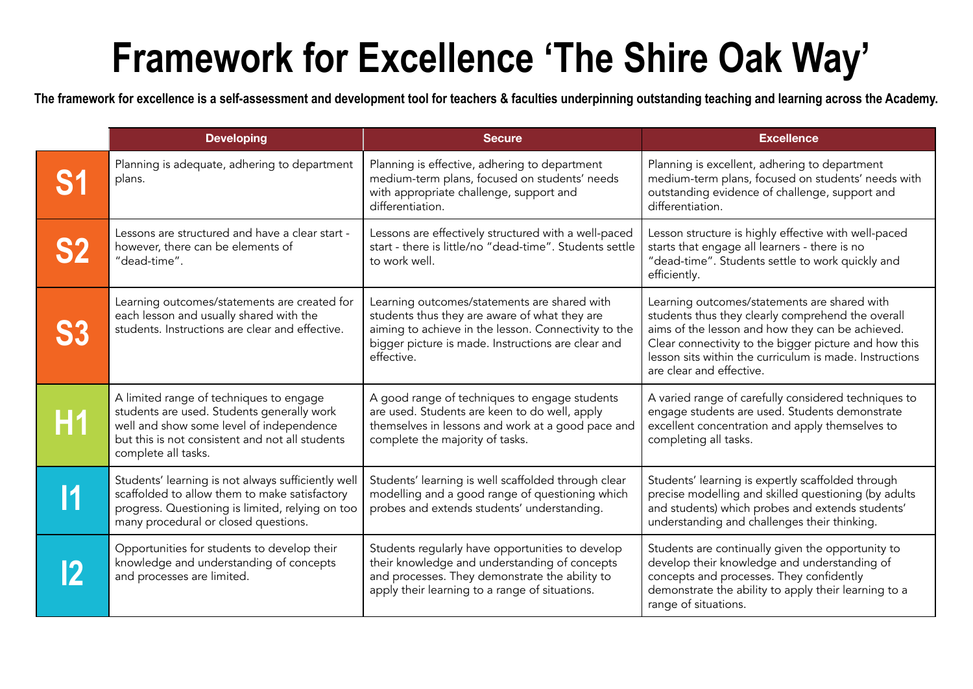## **Framework for Excellence 'The Shire Oak Way'**

**The framework for excellence is a self-assessment and development tool for teachers & faculties underpinning outstanding teaching and learning across the Academy.**

|    | <b>Developing</b>                                                                                                                                                                                           | <b>Secure</b>                                                                                                                                                                                                             | <b>Excellence</b>                                                                                                                                                                                                                                                                                     |
|----|-------------------------------------------------------------------------------------------------------------------------------------------------------------------------------------------------------------|---------------------------------------------------------------------------------------------------------------------------------------------------------------------------------------------------------------------------|-------------------------------------------------------------------------------------------------------------------------------------------------------------------------------------------------------------------------------------------------------------------------------------------------------|
|    | Planning is adequate, adhering to department<br>plans.                                                                                                                                                      | Planning is effective, adhering to department<br>medium-term plans, focused on students' needs<br>with appropriate challenge, support and<br>differentiation.                                                             | Planning is excellent, adhering to department<br>medium-term plans, focused on students' needs with<br>outstanding evidence of challenge, support and<br>differentiation.                                                                                                                             |
|    | Lessons are structured and have a clear start -<br>however, there can be elements of<br>"dead-time".                                                                                                        | Lessons are effectively structured with a well-paced<br>start - there is little/no "dead-time". Students settle<br>to work well.                                                                                          | Lesson structure is highly effective with well-paced<br>starts that engage all learners - there is no<br>"dead-time". Students settle to work quickly and<br>efficiently.                                                                                                                             |
|    | Learning outcomes/statements are created for<br>each lesson and usually shared with the<br>students. Instructions are clear and effective.                                                                  | Learning outcomes/statements are shared with<br>students thus they are aware of what they are<br>aiming to achieve in the lesson. Connectivity to the<br>bigger picture is made. Instructions are clear and<br>effective. | Learning outcomes/statements are shared with<br>students thus they clearly comprehend the overall<br>aims of the lesson and how they can be achieved.<br>Clear connectivity to the bigger picture and how this<br>lesson sits within the curriculum is made. Instructions<br>are clear and effective. |
| Η1 | A limited range of techniques to engage<br>students are used. Students generally work<br>well and show some level of independence<br>but this is not consistent and not all students<br>complete all tasks. | A good range of techniques to engage students<br>are used. Students are keen to do well, apply<br>themselves in lessons and work at a good pace and<br>complete the majority of tasks.                                    | A varied range of carefully considered techniques to<br>engage students are used. Students demonstrate<br>excellent concentration and apply themselves to<br>completing all tasks.                                                                                                                    |
|    | Students' learning is not always sufficiently well<br>scaffolded to allow them to make satisfactory<br>progress. Questioning is limited, relying on too<br>many procedural or closed questions.             | Students' learning is well scaffolded through clear<br>modelling and a good range of questioning which<br>probes and extends students' understanding.                                                                     | Students' learning is expertly scaffolded through<br>precise modelling and skilled questioning (by adults<br>and students) which probes and extends students'<br>understanding and challenges their thinking.                                                                                         |
|    | Opportunities for students to develop their<br>knowledge and understanding of concepts<br>and processes are limited.                                                                                        | Students regularly have opportunities to develop<br>their knowledge and understanding of concepts<br>and processes. They demonstrate the ability to<br>apply their learning to a range of situations.                     | Students are continually given the opportunity to<br>develop their knowledge and understanding of<br>concepts and processes. They confidently<br>demonstrate the ability to apply their learning to a<br>range of situations.                                                                         |